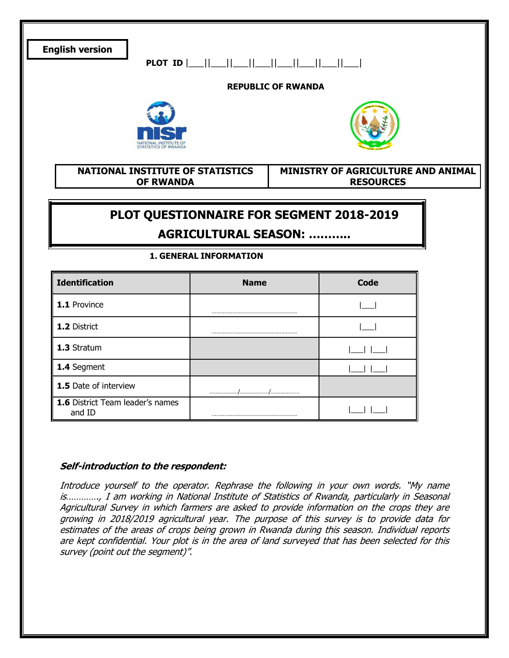

| <b>Identification</b>                      | <b>Name</b> | Code |
|--------------------------------------------|-------------|------|
| 1.1 Province                               |             |      |
| 1.2 District                               |             |      |
| 1.3 Stratum                                |             |      |
| 1.4 Segment                                |             |      |
| 1.5 Date of interview                      |             |      |
| 1.6 District Team leader's names<br>and ID |             |      |

#### Self-introduction to the respondent:

Introduce yourself to the operator. Rephrase the following in your own words. "My name is…………., I am working in National Institute of Statistics of Rwanda, particularly in Seasonal Agricultural Survey in which farmers are asked to provide information on the crops they are growing in 2018/2019 agricultural year. The purpose of this survey is to provide data for estimates of the areas of crops being grown in Rwanda during this season. Individual reports are kept confidential. Your plot is in the area of land surveyed that has been selected for this survey (point out the segment)".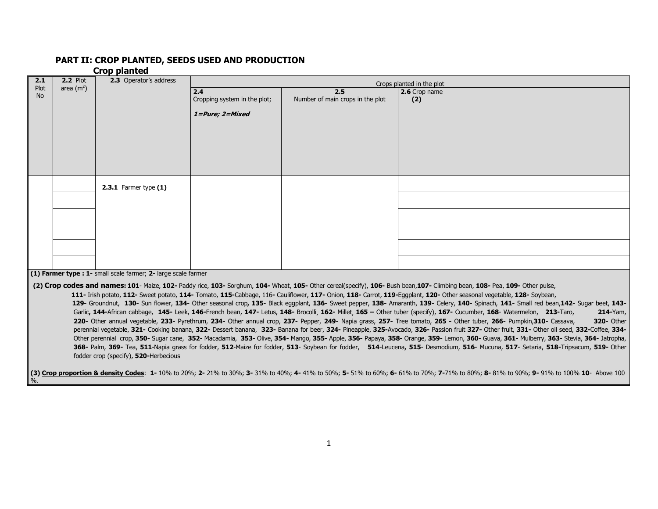#### PART II: CROP PLANTED, SEEDS USED AND PRODUCTION

#### Crop planted

%.

| 2.1       | <b>2.2 Plot</b> | 2.3 Operator's address                                         |                              |                                  | Crops planted in the plot                                                                                                                                                      |
|-----------|-----------------|----------------------------------------------------------------|------------------------------|----------------------------------|--------------------------------------------------------------------------------------------------------------------------------------------------------------------------------|
| Plot      | area $(m2)$     |                                                                | 2.4                          | 2.5                              | 2.6 Crop name                                                                                                                                                                  |
| <b>No</b> |                 |                                                                | Cropping system in the plot; | Number of main crops in the plot | (2)                                                                                                                                                                            |
|           |                 |                                                                |                              |                                  |                                                                                                                                                                                |
|           |                 |                                                                | 1=Pure; 2=Mixed              |                                  |                                                                                                                                                                                |
|           |                 |                                                                |                              |                                  |                                                                                                                                                                                |
|           |                 |                                                                |                              |                                  |                                                                                                                                                                                |
|           |                 |                                                                |                              |                                  |                                                                                                                                                                                |
|           |                 |                                                                |                              |                                  |                                                                                                                                                                                |
|           |                 |                                                                |                              |                                  |                                                                                                                                                                                |
|           |                 |                                                                |                              |                                  |                                                                                                                                                                                |
|           |                 |                                                                |                              |                                  |                                                                                                                                                                                |
|           |                 | 2.3.1 Farmer type $(1)$                                        |                              |                                  |                                                                                                                                                                                |
|           |                 |                                                                |                              |                                  |                                                                                                                                                                                |
|           |                 |                                                                |                              |                                  |                                                                                                                                                                                |
|           |                 |                                                                |                              |                                  |                                                                                                                                                                                |
|           |                 |                                                                |                              |                                  |                                                                                                                                                                                |
|           |                 |                                                                |                              |                                  |                                                                                                                                                                                |
|           |                 |                                                                |                              |                                  |                                                                                                                                                                                |
|           |                 |                                                                |                              |                                  |                                                                                                                                                                                |
|           |                 |                                                                |                              |                                  |                                                                                                                                                                                |
|           |                 |                                                                |                              |                                  |                                                                                                                                                                                |
|           |                 | (1) Farmer type : 1- small scale farmer; 2- large scale farmer |                              |                                  |                                                                                                                                                                                |
|           |                 |                                                                |                              |                                  | (2) Crop codes and names: 101- Maize, 102- Paddy rice, 103- Sorghum, 104- Wheat, 105- Other cereal(specify), 106- Bush bean, 107- Climbing bean, 108- Pea, 109- Other pulse,   |
|           |                 |                                                                |                              |                                  | 111- Irish potato, 112- Sweet potato, 114- Tomato, 115-Cabbage, 116- Cauliflower, 117- Onion, 118- Carrot, 119-Eggplant, 120- Other seasonal vegetable, 128- Soybean,          |
|           |                 |                                                                |                              |                                  | 129- Groundout 130- Sup flower 134- Other seasonal crop. 135- Black eqgplant 136- Sweet penner 138- Amaranth 139- Celery 140- Spinach 141- Small red bean 142- Sugar beet 143- |

129- Groundnut, 130- Sun flower, 134- Other seasonal crop, 135- Black eggplant, 136- Sweet pepper, 138- Amaranth, 139- Celery, 140- Spinach, 141- Small red bean, 142- Sugar beet, 143-Garlic, 144-African cabbage, 145- Leek, 146-French bean, 147- Letus, 148- Brocolli, 162- Millet, 165 - Other tuber (specify), 167- Cucumber, 168- Watermelon, 213-Taro, 214-Yam, 220- Other annual vegetable, 233- Pyrethrum, 234- Other annual crop, 237- Pepper, 249- Napia grass, 257- Tree tomato, 265 - Other tuber, 266- Pumpkin, 310- Cassava, 320- Other perennial vegetable, 321- Cooking banana, 322- Dessert banana, 323- Banana for beer, 324- Pineapple, 325-Avocado, 326- Passion fruit 327- Other fruit, 331- Other oil seed, 332-Coffee, 334-Other perennial crop, 350- Sugar cane, 352- Macadamia, 353- Olive, 354- Mango, 355- Apple, 356- Papaya, 358- Orange, 359- Lemon, 360- Guava, 361- Mulberry, 363- Stevia, 364- Jatropha, 368- Palm, 369- Tea, 511-Napia grass for fodder, 512-Maize for fodder, 513- Soybean for fodder, 514-Leucena, 515- Desmodium, 516- Mucuna, 517- Setaria, 518-Tripsacum, 519- Other fodder crop (specify), 520-Herbecious

(3) Crop proportion & density Codes: 1- 10% to 20%; 2- 21% to 30%; 3- 31% to 40%; 4- 41% to 50%; 5- 51% to 60%; 6- 61% to 70%; 7-71% to 80%; 8- 81% to 90%; 9- 91% to 100% 10- Above 100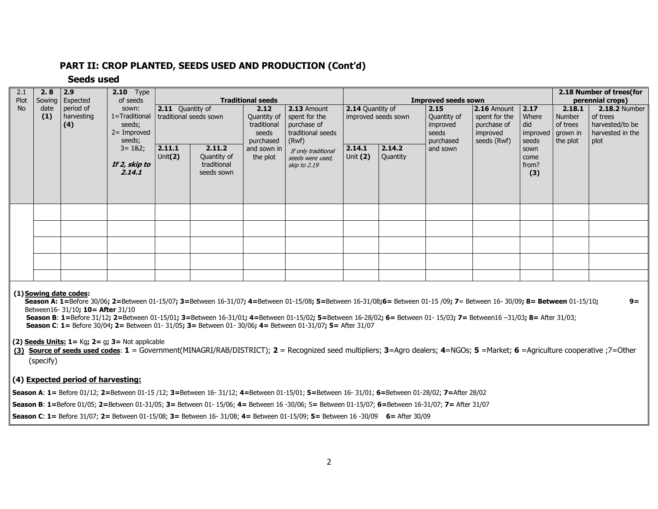#### PART II: CROP PLANTED, SEEDS USED AND PRODUCTION (Cont'd)

#### Seeds used

| 2.1<br>Plot | 2.8<br>Sowing | 2.9<br>Expected                | <b>2.10</b> Type<br>of seeds                                 |                                                   |                                                    | <b>Traditional seeds</b>                                 |                                                                           |                                         | <b>Improved seeds sown</b> |                                                        | 2.18 Number of trees(for<br>perennial crops) |                                                      |                                          |                                                                                 |
|-------------|---------------|--------------------------------|--------------------------------------------------------------|---------------------------------------------------|----------------------------------------------------|----------------------------------------------------------|---------------------------------------------------------------------------|-----------------------------------------|----------------------------|--------------------------------------------------------|----------------------------------------------|------------------------------------------------------|------------------------------------------|---------------------------------------------------------------------------------|
| <b>No</b>   | date<br>(1)   | period of<br>harvesting<br>(4) | sown:<br>1=Traditional<br>seeds;<br>$2 =$ Improved<br>seeds; | <b>2.11</b> Quantity of<br>traditional seeds sown |                                                    | 2.12<br>Quantity of<br>traditional<br>seeds<br>purchased | 2.13 Amount<br>spent for the<br>purchase of<br>traditional seeds<br>(Rwf) | 2.14 Quantity of<br>improved seeds sown |                            | 2.15 <br>Quantity of<br>improved<br>seeds<br>purchased |                                              | 2.17<br>Where<br>did<br>improved   grown in<br>seeds | 2.18.1<br>Number<br>of trees<br>the plot | <b>2.18.2 Number</b><br>of trees<br>harvested/to be<br>harvested in the<br>plot |
|             |               |                                | $3 = 182;$<br>If 2, skip to<br>2.14.1                        | 2.11.1<br>Unit(2)                                 | 2.11.2<br>Quantity of<br>traditional<br>seeds sown | and sown in<br>the plot                                  | If only traditional<br>seeds were used,<br>skip to 2.19                   | 2.14.1<br>Unit (2)                      | 2.14.2<br>Quantity         | and sown                                               | seeds (Rwf)                                  | sown<br>come<br>from?<br>(3)                         |                                          |                                                                                 |
|             |               |                                |                                                              |                                                   |                                                    |                                                          |                                                                           |                                         |                            |                                                        |                                              |                                                      |                                          |                                                                                 |
|             |               |                                |                                                              |                                                   |                                                    |                                                          |                                                                           |                                         |                            |                                                        |                                              |                                                      |                                          |                                                                                 |
|             |               |                                |                                                              |                                                   |                                                    |                                                          |                                                                           |                                         |                            |                                                        |                                              |                                                      |                                          |                                                                                 |
|             |               |                                |                                                              |                                                   |                                                    |                                                          |                                                                           |                                         |                            |                                                        |                                              |                                                      |                                          |                                                                                 |
|             |               |                                |                                                              |                                                   |                                                    |                                                          |                                                                           |                                         |                            |                                                        |                                              |                                                      |                                          |                                                                                 |

#### (1) Sowing date codes:

Season A: 1=Before 30/06; 2=Between 01-15/07; 3=Between 16-31/07; 4=Between 01-15/08; 5=Between 16-31/08;6= Between 01-15 /09; 7= Between 16-30/09; 8= Between 01-15/10; 9= Between16- 31/10; 10= After 31/10

 Season B: 1=Before 31/12; 2=Between 01-15/01; 3=Between 16-31/01; 4=Between 01-15/02; 5=Between 16-28/02; 6= Between 01- 15/03; 7= Between16 –31/03; 8= After 31/03; Season C: 1= Before 30/04; 2= Between 01- 31/05; 3= Between 01- 30/06; 4= Between 01-31/07; 5= After 31/07

(2) Seeds Units:  $1 = Kq$ ;  $2 = q$ ;  $3 = Not$  applicable

(3) Source of seeds used codes: 1 = Government(MINAGRI/RAB/DISTRICT); 2 = Recognized seed multipliers; 3=Agro dealers; 4=NGOs; 5 =Market; 6 =Agriculture cooperative ;7=Other (specify)

#### (4) Expected period of harvesting:

Season A: 1 = Before 01/12; 2=Between 01-15 /12; 3=Between 16- 31/12; 4=Between 01-15/01; 5=Between 16- 31/01; 6=Between 01-28/02; 7=After 28/02

Season B: 1=Before 01/05; 2=Between 01-31/05; 3= Between 01- 15/06; 4= Between 16 -30/06; 5= Between 01-15/07; 6=Between 16-31/07; 7= After 31/07

Season C: 1= Before 31/07; 2= Between 01-15/08; 3= Between 16- 31/08; 4= Between 01-15/09; 5= Between 16 -30/09 6= After 30/09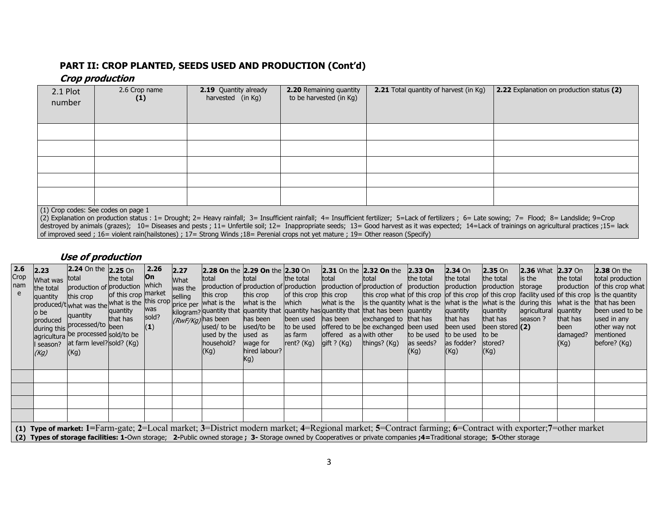#### PART II: CROP PLANTED, SEEDS USED AND PRODUCTION (Cont'd)

### Crop production

| 2.1 Plot<br>number                                                                                                                                                                                                                                                                                                                                                                                                                                                                                                                                                                        | 2.6 Crop name<br>(1) | <b>2.19</b> Quantity already<br>harvested (in Kg) | <b>2.20</b> Remaining quantity<br>to be harvested (in Kg) | <b>2.21</b> Total quantity of harvest (in Kg) | 2.22 Explanation on production status (2) |  |  |  |  |  |  |  |  |
|-------------------------------------------------------------------------------------------------------------------------------------------------------------------------------------------------------------------------------------------------------------------------------------------------------------------------------------------------------------------------------------------------------------------------------------------------------------------------------------------------------------------------------------------------------------------------------------------|----------------------|---------------------------------------------------|-----------------------------------------------------------|-----------------------------------------------|-------------------------------------------|--|--|--|--|--|--|--|--|
|                                                                                                                                                                                                                                                                                                                                                                                                                                                                                                                                                                                           |                      |                                                   |                                                           |                                               |                                           |  |  |  |  |  |  |  |  |
|                                                                                                                                                                                                                                                                                                                                                                                                                                                                                                                                                                                           |                      |                                                   |                                                           |                                               |                                           |  |  |  |  |  |  |  |  |
|                                                                                                                                                                                                                                                                                                                                                                                                                                                                                                                                                                                           |                      |                                                   |                                                           |                                               |                                           |  |  |  |  |  |  |  |  |
|                                                                                                                                                                                                                                                                                                                                                                                                                                                                                                                                                                                           |                      |                                                   |                                                           |                                               |                                           |  |  |  |  |  |  |  |  |
|                                                                                                                                                                                                                                                                                                                                                                                                                                                                                                                                                                                           |                      |                                                   |                                                           |                                               |                                           |  |  |  |  |  |  |  |  |
| (1) Crop codes: See codes on page 1<br>(2) Explanation on production status : 1= Drought; 2= Heavy rainfall; 3= Insufficient rainfall; 4= Insufficient fertilizer; 5=Lack of fertilizers; 6= Late sowing; 7= Flood; 8= Landslide; 9=Crop<br>destroyed by animals (grazes); 10= Diseases and pests ; 11= Unfertile soil; 12= Inappropriate seeds; 13= Good harvest as it was expected; 14=Lack of trainings on agricultural practices ;15= lack<br>of improved seed ; 16 = violent rain(hailstones) ; 17 = Strong Winds ; 18 = Perenial crops not yet mature ; 19 = Other reason (Specify) |                      |                                                   |                                                           |                                               |                                           |  |  |  |  |  |  |  |  |

#### Use of production

| 2.6<br>Crop<br>nam | 2.23<br>What was total<br>the total<br>quantity<br>o be<br>produced<br>(Kg) | 2.24 On the 2.25 On<br>production of production which<br>this crop<br>produced/t what was the what is the this crop price per what is the<br>quantity<br>during this processed/to been<br>agricultura be processed sold/to be<br>I season? at farm level? sold? (Kg)<br>(Kg) | the total<br>of this crop market<br>quantity<br>that has | 2.26 <br><b>On</b><br>was<br>sold?<br>(1) | 2.27<br>What<br>was the<br>selling | total<br>production of production of production<br>this crop<br>$(RwF/kg)$ has been<br>used/ to be<br>used by the<br>household?<br>(Kg) | Itotal<br>this crop<br>what is the which<br>has been<br>used/to be<br>used as<br>wage for<br>hired labour?<br>Kg) | the total<br>of this crop this crop<br>to be used<br>as farm<br>rent? $(Kq)$ | total<br>offered as a with other<br>gift ? $(Kg)$ | <b>2.28 On the 2.29 On the 2.30 On 2.31 On the 2.32 On the 2.33 On</b><br>Itotal<br>production of production of production production production storage<br>kilogram? quantity that quantity that quantity has quantity that that has been quantity<br>been used has been lexchanged to that has<br>loffered to be be exchanged been used been used<br>things? (Kg) | the total<br>to be used to be used<br>as seeds?<br>(Kg) | $2.34$ On<br>the total<br>quantity<br>that has<br>as fodder?<br>(Kg) | $2.35$ On<br>the total<br>quantity<br>that has<br>been stored $(2)$<br>to be<br>stored?<br>(Kg) | <b>2.36</b> What <b>2.37</b> On<br>is the<br>agricultural quantity<br>season ? | the total<br>production<br>that has<br>been<br>damaged?<br>(Kg) | $2.38$ On the<br>total production<br>of this crop what<br>this crop what of this crop of this crop of this crop facility used of this crop is the quantity<br>what is the is the quantity what is the what is the what is the during this what is the that has been<br>been used to be<br>used in any<br>other way not<br>mentioned<br>before? (Kg) |
|--------------------|-----------------------------------------------------------------------------|------------------------------------------------------------------------------------------------------------------------------------------------------------------------------------------------------------------------------------------------------------------------------|----------------------------------------------------------|-------------------------------------------|------------------------------------|-----------------------------------------------------------------------------------------------------------------------------------------|-------------------------------------------------------------------------------------------------------------------|------------------------------------------------------------------------------|---------------------------------------------------|---------------------------------------------------------------------------------------------------------------------------------------------------------------------------------------------------------------------------------------------------------------------------------------------------------------------------------------------------------------------|---------------------------------------------------------|----------------------------------------------------------------------|-------------------------------------------------------------------------------------------------|--------------------------------------------------------------------------------|-----------------------------------------------------------------|-----------------------------------------------------------------------------------------------------------------------------------------------------------------------------------------------------------------------------------------------------------------------------------------------------------------------------------------------------|
| $\cdots$           |                                                                             |                                                                                                                                                                                                                                                                              |                                                          |                                           |                                    |                                                                                                                                         |                                                                                                                   |                                                                              |                                                   | $\mathbf{A}$ $\mathbf{B}$ $\mathbf{A}$ $\mathbf{B}$ $\mathbf{A}$ $\mathbf{A}$ $\mathbf{A}$ $\mathbf{A}$ $\mathbf{B}$ $\mathbf{A}$ $\mathbf{B}$ $\mathbf{A}$ $\mathbf{B}$ $\mathbf{A}$ $\mathbf{B}$ $\mathbf{A}$ $\mathbf{B}$ $\mathbf{A}$ $\mathbf{B}$ $\mathbf{A}$ $\mathbf{B}$ $\mathbf{A}$ $\mathbf{B}$ $\mathbf{A}$ $\mathbf{$                                  |                                                         |                                                                      |                                                                                                 |                                                                                |                                                                 |                                                                                                                                                                                                                                                                                                                                                     |

(1) Type of market: 1=Farm-gate; 2=Local market; 3=District modern market; 4=Regional market; 5=Contract farming; 6=Contract with exporter;7=other market (2) Types of storage facilities: 1-Own storage; 2-Public owned storage; 3- Storage owned by Cooperatives or private companies ;4=Traditional storage; 5-Other storage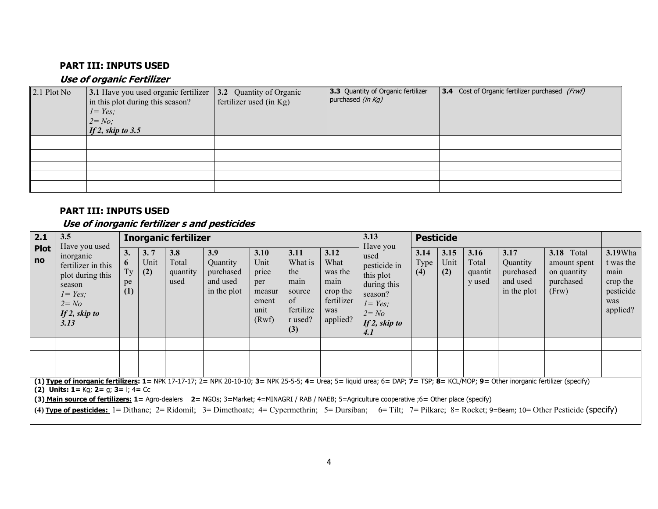### PART III: INPUTS USED

### Use of organic Fertilizer

| 2.1 Plot No | 3.1 Have you used organic fertilizer<br>in this plot during this season?<br>$I = Yes$ ;<br>$2 = No;$<br>If 2, skip to $3.5$ | 3.2 Quantity of Organic<br>fertilizer used (in Kg) | 3.3 Quantity of Organic fertilizer<br>purchased <i>(in Kg)</i> | <b>3.4</b> Cost of Organic fertilizer purchased (Frwf) |
|-------------|-----------------------------------------------------------------------------------------------------------------------------|----------------------------------------------------|----------------------------------------------------------------|--------------------------------------------------------|
|             |                                                                                                                             |                                                    |                                                                |                                                        |
|             |                                                                                                                             |                                                    |                                                                |                                                        |
|             |                                                                                                                             |                                                    |                                                                |                                                        |
|             |                                                                                                                             |                                                    |                                                                |                                                        |
|             |                                                                                                                             |                                                    |                                                                |                                                        |

#### PART III: INPUTS USED

## Use of inorganic fertilizer s and pesticides

| 2.1               | 3.5                                                                                                                                                                                                                                                                                                                                                                                                                                                                                                                                                                            | <b>Inorganic fertilizer</b> |                    |                                  |                                                         |                                                                  |                                                                               |                                                                              |                                                                                                                              |                     | <b>Pesticide</b>    |                                    |                                                          |                                                                        |                                                                                  |
|-------------------|--------------------------------------------------------------------------------------------------------------------------------------------------------------------------------------------------------------------------------------------------------------------------------------------------------------------------------------------------------------------------------------------------------------------------------------------------------------------------------------------------------------------------------------------------------------------------------|-----------------------------|--------------------|----------------------------------|---------------------------------------------------------|------------------------------------------------------------------|-------------------------------------------------------------------------------|------------------------------------------------------------------------------|------------------------------------------------------------------------------------------------------------------------------|---------------------|---------------------|------------------------------------|----------------------------------------------------------|------------------------------------------------------------------------|----------------------------------------------------------------------------------|
| <b>Plot</b><br>no | Have you used<br>inorganic<br>fertilizer in this<br>plot during this<br>season<br>$I = Yes$ ;<br>$2 = No$<br>If 2, skip to<br>3.13                                                                                                                                                                                                                                                                                                                                                                                                                                             | 3.<br>6<br>Tу<br>pe<br>(1)  | 3.7<br>Unit<br>(2) | 3.8<br>Total<br>quantity<br>used | 3.9<br>Quantity<br>purchased<br>and used<br>in the plot | 3.10<br>Unit<br>price<br>per<br>measur<br>ement<br>unit<br>(Rwf) | 3.11<br>What is<br>the<br>main<br>source<br>of<br>fertilize<br>r used?<br>(3) | 3.12<br>What<br>was the<br>main<br>crop the<br>fertilizer<br>was<br>applied? | Have you<br>used<br>pesticide in<br>this plot<br>during this<br>season?<br>$I = Yes;$<br>$2 = No$<br>If $2$ , skip to<br>4.1 | 3.14<br>Type<br>(4) | 3.15<br>Unit<br>(2) | 3.16<br>Total<br>quantit<br>y used | 3.17<br>Quantity<br>purchased<br>and used<br>in the plot | <b>3.18</b> Total<br>amount spent<br>on quantity<br>purchased<br>(Frw) | <b>3.19</b> Wha<br>t was the<br>main<br>crop the<br>pesticide<br>was<br>applied? |
|                   |                                                                                                                                                                                                                                                                                                                                                                                                                                                                                                                                                                                |                             |                    |                                  |                                                         |                                                                  |                                                                               |                                                                              |                                                                                                                              |                     |                     |                                    |                                                          |                                                                        |                                                                                  |
|                   |                                                                                                                                                                                                                                                                                                                                                                                                                                                                                                                                                                                |                             |                    |                                  |                                                         |                                                                  |                                                                               |                                                                              |                                                                                                                              |                     |                     |                                    |                                                          |                                                                        |                                                                                  |
|                   |                                                                                                                                                                                                                                                                                                                                                                                                                                                                                                                                                                                |                             |                    |                                  |                                                         |                                                                  |                                                                               |                                                                              |                                                                                                                              |                     |                     |                                    |                                                          |                                                                        |                                                                                  |
|                   | (1) Type of inorganic fertilizers: 1= NPK 17-17-17; 2= NPK 20-10-10; 3= NPK 25-5-5; 4= Urea; 5= liquid urea; 6= DAP; 7= TSP; 8= KCL/MOP; 9= Other inorganic fertilizer (specify)<br>(2) Units: 1= Kg; 2= g; 3= l; 4= Cc<br>(3) Main source of fertilizers: 1= Agro-dealers 2= NGOs; 3=Market; 4=MINAGRI / RAB / NAEB; 5=Agriculture cooperative ;6= Other place (specify)<br>(4) Type of pesticides: $1 =$ Dithane; $2 =$ Ridomil; $3 =$ Dimethoate; $4 =$ Cypermethrin; $5 =$ Dursiban; $6 =$ Tilt; $7 =$ Pilkare; $8 =$ Rocket; $9 =$ Beam; $10 =$ Other Pesticide (specify) |                             |                    |                                  |                                                         |                                                                  |                                                                               |                                                                              |                                                                                                                              |                     |                     |                                    |                                                          |                                                                        |                                                                                  |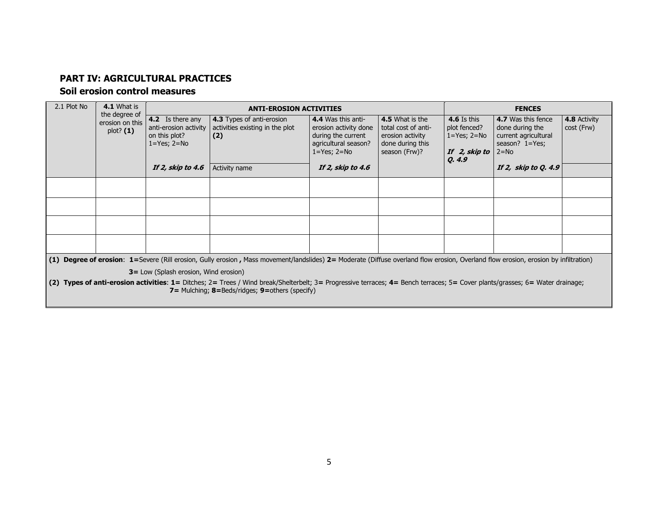### PART IV: AGRICULTURAL PRACTICES

#### Soil erosion control measures

| 2.1 Plot No | 4.1 What is<br>the degree of                  |                                                                                 | <b>ANTI-EROSION ACTIVITIES</b>                                                                                                                                                                                                                                |                                                                                                                |                                                                                                 |                                                                                      | <b>FENCES</b>                                                                                    |                            |  |  |  |
|-------------|-----------------------------------------------|---------------------------------------------------------------------------------|---------------------------------------------------------------------------------------------------------------------------------------------------------------------------------------------------------------------------------------------------------------|----------------------------------------------------------------------------------------------------------------|-------------------------------------------------------------------------------------------------|--------------------------------------------------------------------------------------|--------------------------------------------------------------------------------------------------|----------------------------|--|--|--|
|             | erosion on this<br>plot? (1)                  | 4.2 Is there any<br>anti-erosion activity<br>on this plot?<br>$1 = Yes; 2 = No$ | 4.3 Types of anti-erosion<br>activities existing in the plot<br>(2)                                                                                                                                                                                           | 4.4 Was this anti-<br>erosion activity done<br>during the current<br>agricultural season?<br>$1 = Yes; 2 = No$ | 4.5 What is the<br>total cost of anti-<br>erosion activity<br>done during this<br>season (Frw)? | <b>4.6</b> Is this<br>plot fenced?<br>$1 = Yes$ ; $2 = No$<br>If 2, skip to<br>Q.4.9 | 4.7 Was this fence<br>done during the<br>current agricultural<br>season? $1 = Yes$ ;<br>$2 = No$ | 4.8 Activity<br>cost (Frw) |  |  |  |
|             |                                               | If 2, skip to 4.6                                                               | Activity name                                                                                                                                                                                                                                                 | If 2, skip to 4.6                                                                                              |                                                                                                 |                                                                                      | If 2, skip to Q. 4.9                                                                             |                            |  |  |  |
|             |                                               |                                                                                 |                                                                                                                                                                                                                                                               |                                                                                                                |                                                                                                 |                                                                                      |                                                                                                  |                            |  |  |  |
|             |                                               |                                                                                 |                                                                                                                                                                                                                                                               |                                                                                                                |                                                                                                 |                                                                                      |                                                                                                  |                            |  |  |  |
|             |                                               |                                                                                 |                                                                                                                                                                                                                                                               |                                                                                                                |                                                                                                 |                                                                                      |                                                                                                  |                            |  |  |  |
|             |                                               |                                                                                 |                                                                                                                                                                                                                                                               |                                                                                                                |                                                                                                 |                                                                                      |                                                                                                  |                            |  |  |  |
|             |                                               |                                                                                 | (1) Degree of erosion: 1=Severe (Rill erosion, Gully erosion, Mass movement/landslides) 2= Moderate (Diffuse overland flow erosion, Overland flow erosion, erosion by infiltration)                                                                           |                                                                                                                |                                                                                                 |                                                                                      |                                                                                                  |                            |  |  |  |
|             | <b>3</b> = Low (Splash erosion, Wind erosion) |                                                                                 |                                                                                                                                                                                                                                                               |                                                                                                                |                                                                                                 |                                                                                      |                                                                                                  |                            |  |  |  |
| (2)         |                                               |                                                                                 | Types of anti-erosion activities: 1= Ditches; 2= Trees / Wind break/Shelterbelt; 3= Progressive terraces; 4= Bench terraces; 5= Cover plants/grasses; 6= Water drainage;<br><b>7</b> = Mulching: $8 = \text{Beds/ridges}$ ; $9 = \text{others (specificity)}$ |                                                                                                                |                                                                                                 |                                                                                      |                                                                                                  |                            |  |  |  |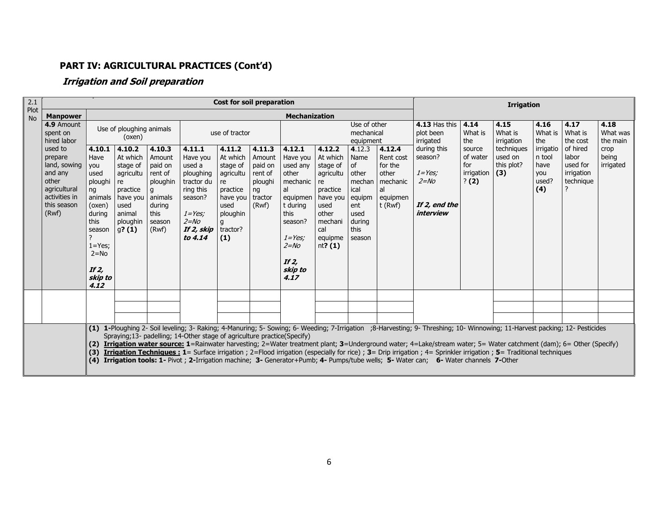# PART IV: AGRICULTURAL PRACTICES (Cont'd)

## Irrigation and Soil preparation

| 2.1               |                                                                                               |                                                                                                                                                          |                                                                                                                                |                                                                                                |                                                                                                                                    | <b>Cost for soil preparation</b>                                                                                      |                                                                             |                                                                                                                                                              |                                                                                                                                      |                                                                                            |                                                                                         | <b>Irrigation</b>                                                                                                                                                                                                                                                                                                                                                                                                                                                                                                                                                                                                                                               |                                                                                  |                               |                                                    |                                                          |                              |
|-------------------|-----------------------------------------------------------------------------------------------|----------------------------------------------------------------------------------------------------------------------------------------------------------|--------------------------------------------------------------------------------------------------------------------------------|------------------------------------------------------------------------------------------------|------------------------------------------------------------------------------------------------------------------------------------|-----------------------------------------------------------------------------------------------------------------------|-----------------------------------------------------------------------------|--------------------------------------------------------------------------------------------------------------------------------------------------------------|--------------------------------------------------------------------------------------------------------------------------------------|--------------------------------------------------------------------------------------------|-----------------------------------------------------------------------------------------|-----------------------------------------------------------------------------------------------------------------------------------------------------------------------------------------------------------------------------------------------------------------------------------------------------------------------------------------------------------------------------------------------------------------------------------------------------------------------------------------------------------------------------------------------------------------------------------------------------------------------------------------------------------------|----------------------------------------------------------------------------------|-------------------------------|----------------------------------------------------|----------------------------------------------------------|------------------------------|
| Plot<br><b>No</b> | <b>Manpower</b>                                                                               |                                                                                                                                                          |                                                                                                                                |                                                                                                |                                                                                                                                    |                                                                                                                       |                                                                             | <b>Mechanization</b>                                                                                                                                         |                                                                                                                                      |                                                                                            |                                                                                         |                                                                                                                                                                                                                                                                                                                                                                                                                                                                                                                                                                                                                                                                 |                                                                                  |                               |                                                    |                                                          |                              |
|                   | 4.9 Amount<br>spent on<br>hired labor                                                         |                                                                                                                                                          | Use of ploughing animals<br>(oxen)                                                                                             |                                                                                                |                                                                                                                                    | use of tractor                                                                                                        |                                                                             |                                                                                                                                                              | Use of other<br>mechanical<br>equipment                                                                                              |                                                                                            |                                                                                         | <b>4.13 Has this</b><br>plot been<br>irrigated                                                                                                                                                                                                                                                                                                                                                                                                                                                                                                                                                                                                                  | 4.14<br>What is<br>the                                                           | 4.15<br>What is<br>irrigation | 4.16<br>What is<br>the                             | 4.17<br>What is<br>the cost                              | 4.18<br>What was<br>the main |
| other<br>(Rwf)    | used to<br>prepare<br>land, sowing<br>and any<br>agricultural<br>activities in<br>this season | 4.10.1<br>Have<br>you<br>used<br>ploughi<br>ng<br>animals<br>(oxen)<br>during<br>this<br>season<br>$1 = Yes;$<br>$2 = No$<br>If $2$ ,<br>skip to<br>4.12 | 4.10.2<br>At which<br>stage of<br>agricultu   rent of<br>re<br>practice<br>have you<br>used<br>animal<br>ploughin<br>$g$ ? (1) | 4.10.3<br>Amount<br>paid on<br>ploughin<br>g<br>l animals<br>during<br>this<br>season<br>(Rwf) | 4.11.1<br>Have you<br>used a<br>ploughing<br>tractor du<br>ring this<br>season?<br>$1 = Yes;$<br>$2 = No$<br>If 2, skip<br>to 4.14 | 4.11.2<br>At which<br>stage of<br>agricultu<br>re<br>practice<br>have you<br>used<br>ploughin<br>g<br>tractor?<br>(1) | 4.11.3<br>Amount<br>paid on<br>rent of<br>ploughi<br>ng<br>tractor<br>(Rwf) | 4.12.1<br>Have you<br>used any<br>other<br>mechanic<br>al<br>equipmen<br>t during<br>this<br>season?<br>$1 = Yes$<br>$2 = No$<br>If $2$ ,<br>skip to<br>4.17 | 4.12.2<br>At which<br>stage of<br>agricultu<br>re<br>practice<br>have you<br>used<br>other<br>mechani<br>cal<br>equipme<br>nt? $(1)$ | 4.12.3<br>Name<br>of<br>other<br>ical<br>equipm<br>ent<br>used<br>during<br>this<br>season | 4.12.4<br>Rent cost<br>for the<br>other<br>mechan mechanic<br>al<br>equipmen<br>t (Rwf) | during this<br>season?<br>$1 = Yes;$<br>$2 = No$<br>If 2, end the<br>interview                                                                                                                                                                                                                                                                                                                                                                                                                                                                                                                                                                                  | source<br>of water<br>used on<br>this plot?<br>for<br>irrigation<br>(3)<br>? (2) | techniques                    | irrigatio<br>n tool<br>have<br>you<br>used?<br>(4) | of hired<br>labor<br>used for<br>irrigation<br>technique | crop<br>being<br>irrigated   |
|                   |                                                                                               |                                                                                                                                                          |                                                                                                                                |                                                                                                |                                                                                                                                    |                                                                                                                       |                                                                             |                                                                                                                                                              |                                                                                                                                      |                                                                                            |                                                                                         |                                                                                                                                                                                                                                                                                                                                                                                                                                                                                                                                                                                                                                                                 |                                                                                  |                               |                                                    |                                                          |                              |
|                   |                                                                                               |                                                                                                                                                          |                                                                                                                                |                                                                                                |                                                                                                                                    |                                                                                                                       |                                                                             |                                                                                                                                                              |                                                                                                                                      |                                                                                            |                                                                                         |                                                                                                                                                                                                                                                                                                                                                                                                                                                                                                                                                                                                                                                                 |                                                                                  |                               |                                                    |                                                          |                              |
|                   |                                                                                               | (3)<br>(4)                                                                                                                                               |                                                                                                                                |                                                                                                | Spraying;13- padelling; 14-Other stage of agriculture practice(Specify)                                                            |                                                                                                                       |                                                                             |                                                                                                                                                              |                                                                                                                                      |                                                                                            |                                                                                         | (1) 1-Ploughing 2- Soil leveling; 3- Raking; 4-Manuring; 5- Sowing; 6- Weeding; 7-Irrigation ;8-Harvesting; 9- Threshing; 10- Winnowing; 11-Harvest packing; 12- Pesticides<br>(2) Irrigation water source: 1=Rainwater harvesting; 2=Water treatment plant; 3=Underground water; 4=Lake/stream water; 5= Water catchment (dam); 6= Other (Specify)<br>Irrigation Techniques: 1= Surface irrigation ; 2=Flood irrigation (especially for rice) ; 3= Drip irrigation ; 4= Sprinkler irrigation ; 5= Traditional techniques<br>Irrigation tools: 1- Pivot ; 2-Irrigation machine; 3- Generator+Pumb; 4- Pumps/tube wells; 5- Water can; 6- Water channels 7-Other |                                                                                  |                               |                                                    |                                                          |                              |